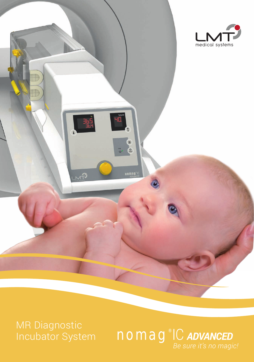

**MR Diagnostic** Incubator System

nomag<sup>®</sup>IC ADVANCED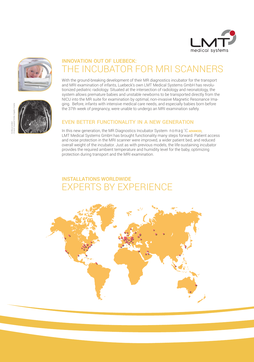



## INNOVATION OUT OF LUEBECK: THE INCUBATOR FOR MRI SCANNERS

With the ground-breaking development of their MR diagnostics incubator for the transport and MRI examination of infants, Luebeck's own LMT Medical Systems GmbH has revolutionized pediatric radiology. Situated at the intersection of radiology and neonatology, the system allows premature babies and unstable newborns to be transported directly from the NICU into the MR suite for examination by optimal, non-invasive Magnetic Resonance Imaging. Before, infants with intensive medical care needs, and especially babies born before the 37th week of pregnancy, were unable to undergo an MRI examination safely.

## EVEN BETTER FUNCTIONALITY IN A NEW GENERATION

In this new generation, the MR Diagnostics Incubator System nomag<sup>®</sup>IC ADVANCED, LMT Medical Systems GmbH has brought functionality many steps forward. Patient access and noise protection in the MRI scanner were improved, a wider patient bed, and reduced overall weight of the incubator. Just as with previous models, the life-sustaining incubator provides the required ambient temperature and humidity level for the baby, optimizing protection during transport and the MRI examination.

## INSTALLATIONS WORLDWIDE EXPERTS BY EXPERIENCE

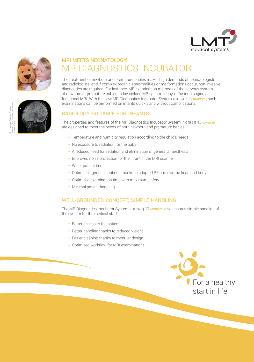







# MRI MEETS NEONATOLOGY: MR DIAGNOSTICS INCUBATOR

The treatment of newborn and premature babies makes high demands of neonatologists and radiologists, and if complex organic abnormalities or malformations occur, non-invasive diagnostics are required. For instance, MR examination methods of the nervous system of newborn or premature babies today include MR spectroscopy, diffusion imaging or functional MRI. With the new MR Diagnostics Incubator System **nomag**®IC ADVANCED, such examinations can be performed on infants quickly and without complications.

### RADIOLOGY SUITABLE FOR INFANTS

The properties and features of the MR Diagnostics Incubator System nomag ® IC *ADVANCED* are designed to meet the needs of both newborn and premature babies:

- Temperature and humidity regulation according to the child's needs
- No exposure to radiation for the baby
- A reduced need for sedation and elimination of general anaesthesia
- Improved noise protection for the infant in the MRI scanner
- Wider patient bed
- Optimal diagnostics options thanks to adapted RF coils for the head and body
- Optimized examination time with maximum safety
- Minimal patient handling

### WELL-GROUNDED CONCEPT, SIMPLE HANDLING

The MR Diagnostics Incubator System **nomag** IC ADVANCED also ensures simple handling of the system for the medical staff:

- Better access to the patient
- Better handling thanks to reduced weight
- Easier cleaning thanks to modular design
- Optimized workflow for MRI examinations

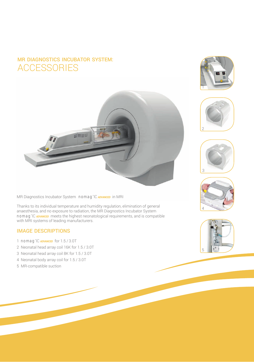## MR DIAGNOSTICS INCUBATOR SYSTEM: ACCESSORIES



MR Diagnostics Incubator System nomag ® IC *ADVANCED* in MRI

Thanks to its individual temperature and humidity regulation, elimination of general anaesthesia, and no exposure to radiation, the MR Diagnostics Incubator System nomag ® IC *ADVANCED* meets the highest neonatological requirements, and is compatible with MRI systems of leading manufacturers.

### IMAGE DESCRIPTIONS

- 1 **nomag**<sup>°</sup>IC **ADVANCED** for 1.5/3.0T
- 2 Neonatal head array coil 16K for 1.5 / 3.0T
- 3 Neonatal head array coil 8K for 1.5 / 3.0T
- 4 Neonatal body array coil for 1.5 / 3.0T
- 5 MR-compatible suction